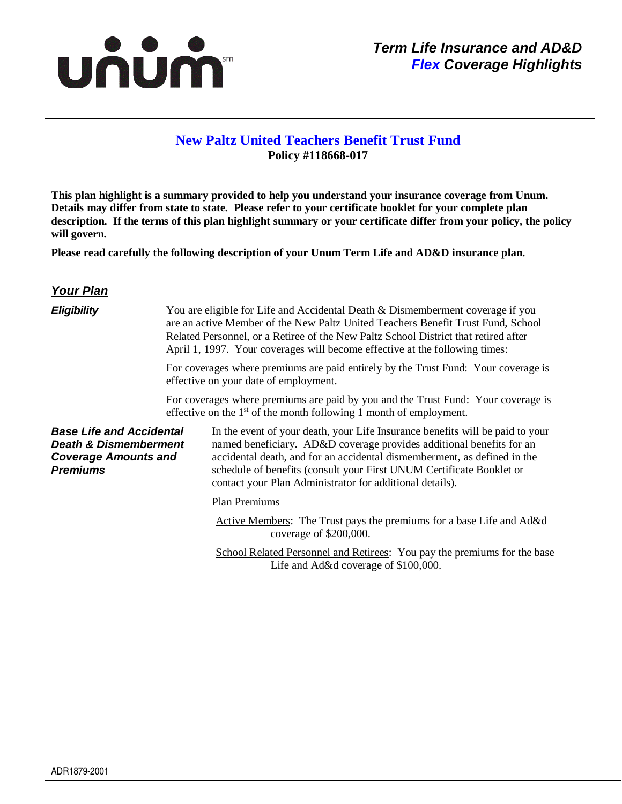

## **New Paltz United Teachers Benefit Trust Fund Policy #118668-017**

**This plan highlight is a summary provided to help you understand your insurance coverage from Unum. Details may differ from state to state. Please refer to your certificate booklet for your complete plan description. If the terms of this plan highlight summary or your certificate differ from your policy, the policy will govern.** 

**Please read carefully the following description of your Unum Term Life and AD&D insurance plan.** 

## **Your Plan**

| <b>Eligibility</b>                                                                                                    |  | You are eligible for Life and Accidental Death & Dismemberment coverage if you<br>are an active Member of the New Paltz United Teachers Benefit Trust Fund, School<br>Related Personnel, or a Retiree of the New Paltz School District that retired after<br>April 1, 1997. Your coverages will become effective at the following times:                              |
|-----------------------------------------------------------------------------------------------------------------------|--|-----------------------------------------------------------------------------------------------------------------------------------------------------------------------------------------------------------------------------------------------------------------------------------------------------------------------------------------------------------------------|
|                                                                                                                       |  | For coverages where premiums are paid entirely by the Trust Fund: Your coverage is<br>effective on your date of employment.                                                                                                                                                                                                                                           |
|                                                                                                                       |  | For coverages where premiums are paid by you and the Trust Fund: Your coverage is<br>effective on the $1st$ of the month following 1 month of employment.                                                                                                                                                                                                             |
| <b>Base Life and Accidental</b><br><b>Death &amp; Dismemberment</b><br><b>Coverage Amounts and</b><br><b>Premiums</b> |  | In the event of your death, your Life Insurance benefits will be paid to your<br>named beneficiary. AD&D coverage provides additional benefits for an<br>accidental death, and for an accidental dismemberment, as defined in the<br>schedule of benefits (consult your First UNUM Certificate Booklet or<br>contact your Plan Administrator for additional details). |
|                                                                                                                       |  | Plan Premiums                                                                                                                                                                                                                                                                                                                                                         |
|                                                                                                                       |  | Active Members: The Trust pays the premiums for a base Life and Ad&d<br>coverage of \$200,000.                                                                                                                                                                                                                                                                        |
|                                                                                                                       |  | School Related Personnel and Retiress: You pay the premiums for the base<br>Life and Ad&d coverage of \$100,000.                                                                                                                                                                                                                                                      |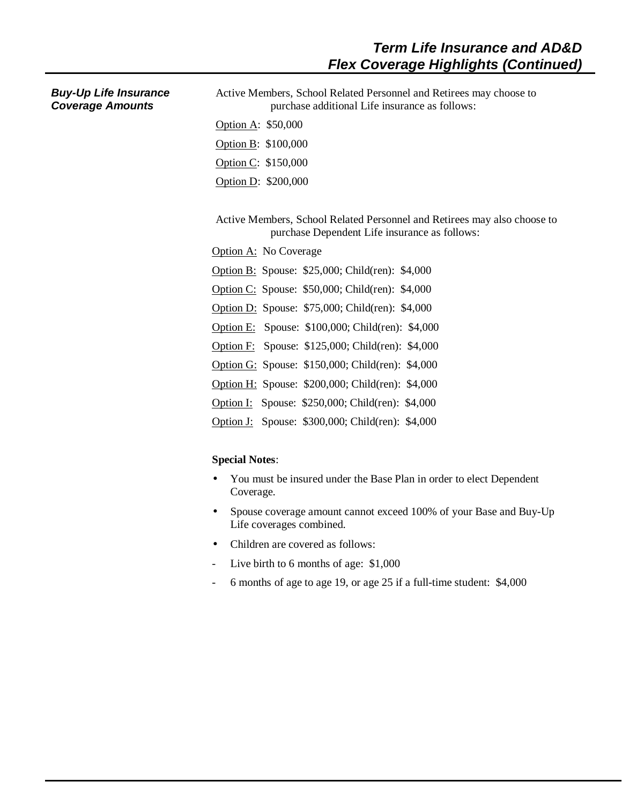| <b>Buy-Up Life Insurance</b> |  |
|------------------------------|--|
| <b>Coverage Amounts</b>      |  |

Active Members, School Related Personnel and Retirees may choose to purchase additional Life insurance as follows:

- Option A: \$50,000 Option B: \$100,000 Option C: \$150,000
- Option D: \$200,000

Active Members, School Related Personnel and Retirees may also choose to purchase Dependent Life insurance as follows:

- Option A: No Coverage
- Option B: Spouse: \$25,000; Child(ren): \$4,000
- Option C: Spouse: \$50,000; Child(ren): \$4,000
- Option D: Spouse: \$75,000; Child(ren): \$4,000
- Option E: Spouse: \$100,000; Child(ren): \$4,000
- Option F: Spouse: \$125,000; Child(ren): \$4,000
- Option G: Spouse: \$150,000; Child(ren): \$4,000
- Option H: Spouse: \$200,000; Child(ren): \$4,000
- Option I: Spouse: \$250,000; Child(ren): \$4,000
- Option J: Spouse: \$300,000; Child(ren): \$4,000

## **Special Notes**:

- You must be insured under the Base Plan in order to elect Dependent Coverage.
- Spouse coverage amount cannot exceed 100% of your Base and Buy-Up Life coverages combined.
- Children are covered as follows:
- Live birth to 6 months of age: \$1,000
- 6 months of age to age 19, or age 25 if a full-time student: \$4,000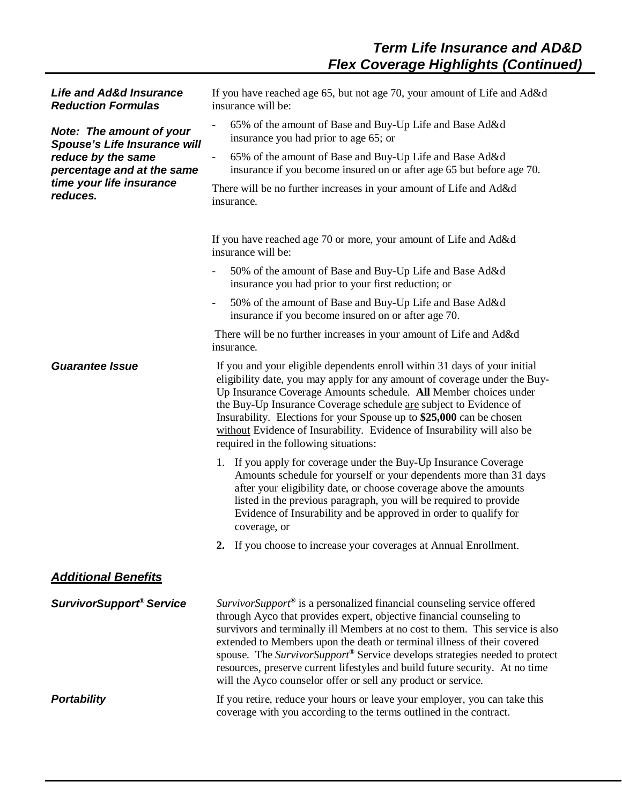| <b>Life and Ad&amp;d Insurance</b><br><b>Reduction Formulas</b> | If you have reached age 65, but not age 70, your amount of Life and Ad&d<br>insurance will be:                                                                                                                                                                                                                                                                                                                                                                                                                                             |
|-----------------------------------------------------------------|--------------------------------------------------------------------------------------------------------------------------------------------------------------------------------------------------------------------------------------------------------------------------------------------------------------------------------------------------------------------------------------------------------------------------------------------------------------------------------------------------------------------------------------------|
| Note: The amount of your<br><b>Spouse's Life Insurance will</b> | 65% of the amount of Base and Buy-Up Life and Base Ad&d<br>insurance you had prior to age 65; or                                                                                                                                                                                                                                                                                                                                                                                                                                           |
| reduce by the same<br>percentage and at the same                | 65% of the amount of Base and Buy-Up Life and Base Ad&d<br>insurance if you become insured on or after age 65 but before age 70.                                                                                                                                                                                                                                                                                                                                                                                                           |
| time your life insurance<br>reduces.                            | There will be no further increases in your amount of Life and Ad&d<br>insurance.                                                                                                                                                                                                                                                                                                                                                                                                                                                           |
|                                                                 | If you have reached age 70 or more, your amount of Life and Ad&d<br>insurance will be:                                                                                                                                                                                                                                                                                                                                                                                                                                                     |
|                                                                 | 50% of the amount of Base and Buy-Up Life and Base Ad&d<br>insurance you had prior to your first reduction; or                                                                                                                                                                                                                                                                                                                                                                                                                             |
|                                                                 | 50% of the amount of Base and Buy-Up Life and Base Ad&d<br>$\overline{\phantom{a}}$<br>insurance if you become insured on or after age 70.                                                                                                                                                                                                                                                                                                                                                                                                 |
|                                                                 | There will be no further increases in your amount of Life and Ad&d<br>insurance.                                                                                                                                                                                                                                                                                                                                                                                                                                                           |
| <b>Guarantee Issue</b>                                          | If you and your eligible dependents enroll within 31 days of your initial<br>eligibility date, you may apply for any amount of coverage under the Buy-<br>Up Insurance Coverage Amounts schedule. All Member choices under<br>the Buy-Up Insurance Coverage schedule are subject to Evidence of<br>Insurability. Elections for your Spouse up to \$25,000 can be chosen<br>without Evidence of Insurability. Evidence of Insurability will also be<br>required in the following situations:                                                |
|                                                                 | 1. If you apply for coverage under the Buy-Up Insurance Coverage<br>Amounts schedule for yourself or your dependents more than 31 days<br>after your eligibility date, or choose coverage above the amounts<br>listed in the previous paragraph, you will be required to provide<br>Evidence of Insurability and be approved in order to qualify for<br>coverage, or                                                                                                                                                                       |
|                                                                 | 2. If you choose to increase your coverages at Annual Enrollment.                                                                                                                                                                                                                                                                                                                                                                                                                                                                          |
| <b>Additional Benefits</b>                                      |                                                                                                                                                                                                                                                                                                                                                                                                                                                                                                                                            |
| <b>SurvivorSupport<sup>®</sup> Service</b>                      | SurvivorSupport® is a personalized financial counseling service offered<br>through Ayco that provides expert, objective financial counseling to<br>survivors and terminally ill Members at no cost to them. This service is also<br>extended to Members upon the death or terminal illness of their covered<br>spouse. The SurvivorSupport® Service develops strategies needed to protect<br>resources, preserve current lifestyles and build future security. At no time<br>will the Ayco counselor offer or sell any product or service. |
| <b>Portability</b>                                              | If you retire, reduce your hours or leave your employer, you can take this<br>coverage with you according to the terms outlined in the contract.                                                                                                                                                                                                                                                                                                                                                                                           |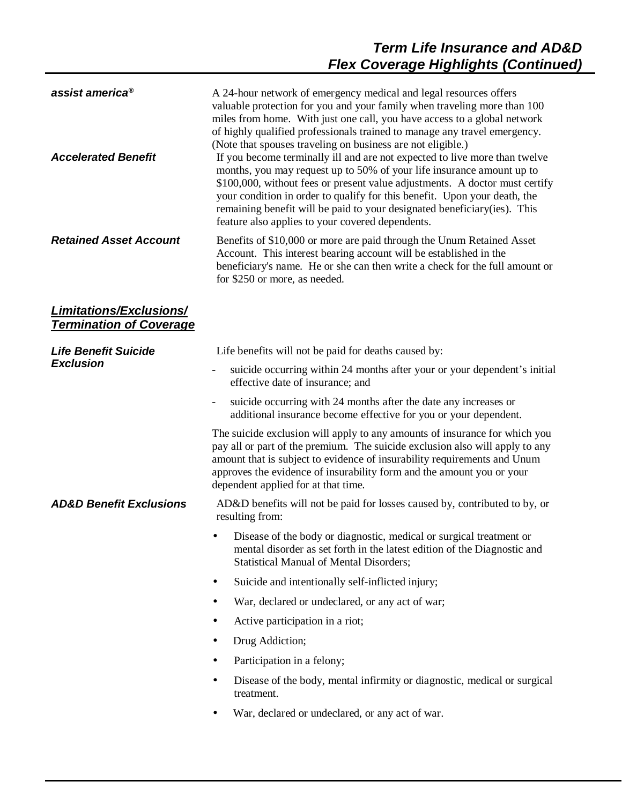| assist america <sup>®</sup><br><b>Accelerated Benefit</b> | A 24-hour network of emergency medical and legal resources offers<br>valuable protection for you and your family when traveling more than 100<br>miles from home. With just one call, you have access to a global network<br>of highly qualified professionals trained to manage any travel emergency.<br>(Note that spouses traveling on business are not eligible.)<br>If you become terminally ill and are not expected to live more than twelve<br>months, you may request up to 50% of your life insurance amount up to<br>\$100,000, without fees or present value adjustments. A doctor must certify<br>your condition in order to qualify for this benefit. Upon your death, the<br>remaining benefit will be paid to your designated beneficiary(ies). This<br>feature also applies to your covered dependents. |
|-----------------------------------------------------------|--------------------------------------------------------------------------------------------------------------------------------------------------------------------------------------------------------------------------------------------------------------------------------------------------------------------------------------------------------------------------------------------------------------------------------------------------------------------------------------------------------------------------------------------------------------------------------------------------------------------------------------------------------------------------------------------------------------------------------------------------------------------------------------------------------------------------|
| <b>Retained Asset Account</b>                             | Benefits of \$10,000 or more are paid through the Unum Retained Asset<br>Account. This interest bearing account will be established in the<br>beneficiary's name. He or she can then write a check for the full amount or<br>for \$250 or more, as needed.                                                                                                                                                                                                                                                                                                                                                                                                                                                                                                                                                               |
| Limitations/Exclusions/<br><b>Termination of Coverage</b> |                                                                                                                                                                                                                                                                                                                                                                                                                                                                                                                                                                                                                                                                                                                                                                                                                          |
| <b>Life Benefit Suicide</b>                               | Life benefits will not be paid for deaths caused by:                                                                                                                                                                                                                                                                                                                                                                                                                                                                                                                                                                                                                                                                                                                                                                     |
| <b>Exclusion</b>                                          | suicide occurring within 24 months after your or your dependent's initial<br>effective date of insurance; and                                                                                                                                                                                                                                                                                                                                                                                                                                                                                                                                                                                                                                                                                                            |
|                                                           | suicide occurring with 24 months after the date any increases or<br>$\overline{\phantom{a}}$<br>additional insurance become effective for you or your dependent.                                                                                                                                                                                                                                                                                                                                                                                                                                                                                                                                                                                                                                                         |
|                                                           | The suicide exclusion will apply to any amounts of insurance for which you<br>pay all or part of the premium. The suicide exclusion also will apply to any<br>amount that is subject to evidence of insurability requirements and Unum<br>approves the evidence of insurability form and the amount you or your<br>dependent applied for at that time.                                                                                                                                                                                                                                                                                                                                                                                                                                                                   |
| <b>AD&amp;D Benefit Exclusions</b>                        | AD&D benefits will not be paid for losses caused by, contributed to by, or<br>resulting from:                                                                                                                                                                                                                                                                                                                                                                                                                                                                                                                                                                                                                                                                                                                            |
|                                                           | Disease of the body or diagnostic, medical or surgical treatment or<br>٠<br>mental disorder as set forth in the latest edition of the Diagnostic and<br><b>Statistical Manual of Mental Disorders;</b>                                                                                                                                                                                                                                                                                                                                                                                                                                                                                                                                                                                                                   |
|                                                           | Suicide and intentionally self-inflicted injury;<br>٠                                                                                                                                                                                                                                                                                                                                                                                                                                                                                                                                                                                                                                                                                                                                                                    |
|                                                           | War, declared or undeclared, or any act of war;                                                                                                                                                                                                                                                                                                                                                                                                                                                                                                                                                                                                                                                                                                                                                                          |
|                                                           | Active participation in a riot;                                                                                                                                                                                                                                                                                                                                                                                                                                                                                                                                                                                                                                                                                                                                                                                          |
|                                                           | Drug Addiction;                                                                                                                                                                                                                                                                                                                                                                                                                                                                                                                                                                                                                                                                                                                                                                                                          |
|                                                           | Participation in a felony;                                                                                                                                                                                                                                                                                                                                                                                                                                                                                                                                                                                                                                                                                                                                                                                               |
|                                                           | Disease of the body, mental infirmity or diagnostic, medical or surgical<br>treatment.                                                                                                                                                                                                                                                                                                                                                                                                                                                                                                                                                                                                                                                                                                                                   |
|                                                           | War, declared or undeclared, or any act of war.                                                                                                                                                                                                                                                                                                                                                                                                                                                                                                                                                                                                                                                                                                                                                                          |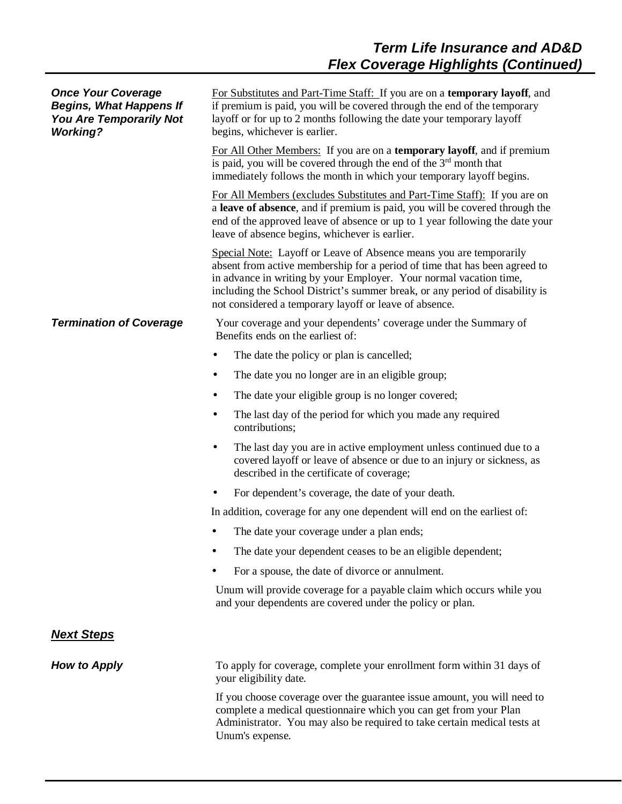| <b>Once Your Coverage</b><br><b>Begins, What Happens If</b><br>You Are Temporarily Not<br><b>Working?</b> | For Substitutes and Part-Time Staff: If you are on a temporary layoff, and<br>if premium is paid, you will be covered through the end of the temporary<br>layoff or for up to 2 months following the date your temporary layoff<br>begins, whichever is earlier.                                                                                                 |
|-----------------------------------------------------------------------------------------------------------|------------------------------------------------------------------------------------------------------------------------------------------------------------------------------------------------------------------------------------------------------------------------------------------------------------------------------------------------------------------|
|                                                                                                           | For All Other Members: If you are on a temporary layoff, and if premium<br>is paid, you will be covered through the end of the $3rd$ month that<br>immediately follows the month in which your temporary layoff begins.                                                                                                                                          |
|                                                                                                           | For All Members (excludes Substitutes and Part-Time Staff): If you are on<br>a leave of absence, and if premium is paid, you will be covered through the<br>end of the approved leave of absence or up to 1 year following the date your<br>leave of absence begins, whichever is earlier.                                                                       |
|                                                                                                           | Special Note: Layoff or Leave of Absence means you are temporarily<br>absent from active membership for a period of time that has been agreed to<br>in advance in writing by your Employer. Your normal vacation time,<br>including the School District's summer break, or any period of disability is<br>not considered a temporary layoff or leave of absence. |
| <b>Termination of Coverage</b>                                                                            | Your coverage and your dependents' coverage under the Summary of<br>Benefits ends on the earliest of:                                                                                                                                                                                                                                                            |
|                                                                                                           | The date the policy or plan is cancelled;<br>٠                                                                                                                                                                                                                                                                                                                   |
|                                                                                                           | The date you no longer are in an eligible group;<br>٠                                                                                                                                                                                                                                                                                                            |
|                                                                                                           | The date your eligible group is no longer covered;<br>٠                                                                                                                                                                                                                                                                                                          |
|                                                                                                           | The last day of the period for which you made any required<br>٠<br>contributions;                                                                                                                                                                                                                                                                                |
|                                                                                                           | The last day you are in active employment unless continued due to a<br>$\bullet$<br>covered layoff or leave of absence or due to an injury or sickness, as<br>described in the certificate of coverage;                                                                                                                                                          |
|                                                                                                           | For dependent's coverage, the date of your death.                                                                                                                                                                                                                                                                                                                |
|                                                                                                           | In addition, coverage for any one dependent will end on the earliest of:                                                                                                                                                                                                                                                                                         |
|                                                                                                           | The date your coverage under a plan ends;                                                                                                                                                                                                                                                                                                                        |
|                                                                                                           | The date your dependent ceases to be an eligible dependent;                                                                                                                                                                                                                                                                                                      |
|                                                                                                           | For a spouse, the date of divorce or annulment.                                                                                                                                                                                                                                                                                                                  |
|                                                                                                           | Unum will provide coverage for a payable claim which occurs while you<br>and your dependents are covered under the policy or plan.                                                                                                                                                                                                                               |
| <b>Next Steps</b>                                                                                         |                                                                                                                                                                                                                                                                                                                                                                  |
| <b>How to Apply</b>                                                                                       | To apply for coverage, complete your enrollment form within 31 days of<br>your eligibility date.                                                                                                                                                                                                                                                                 |
|                                                                                                           | If you choose coverage over the guarantee issue amount, you will need to<br>complete a medical questionnaire which you can get from your Plan<br>Administrator. You may also be required to take certain medical tests at<br>Unum's expense.                                                                                                                     |